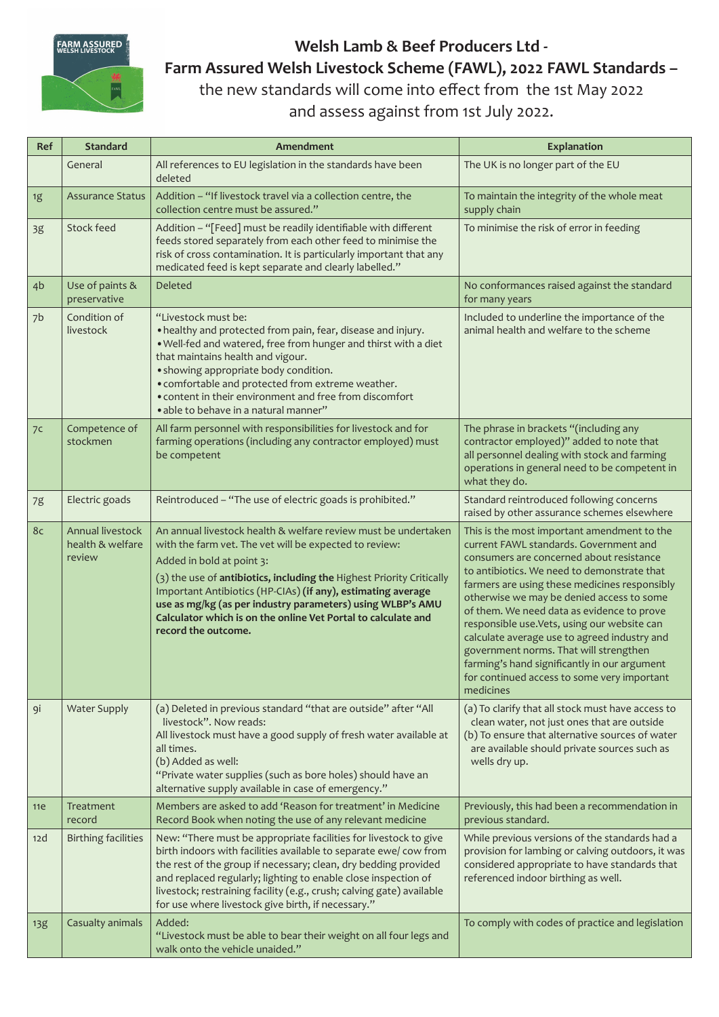

## **Welsh Lamb & Beef Producers Ltd - Farm Assured Welsh Livestock Scheme (FAWL), 2022 FAWL Standards –** the new standards will come into effect from the 1st May 2022

and assess against from 1st July 2022.

| Ref            | <b>Standard</b>                                | Amendment                                                                                                                                                                                                                                                                                                                                                                                                                                            | Explanation                                                                                                                                                                                                                                                                                                                                                                                                                                                                                                                                                                        |
|----------------|------------------------------------------------|------------------------------------------------------------------------------------------------------------------------------------------------------------------------------------------------------------------------------------------------------------------------------------------------------------------------------------------------------------------------------------------------------------------------------------------------------|------------------------------------------------------------------------------------------------------------------------------------------------------------------------------------------------------------------------------------------------------------------------------------------------------------------------------------------------------------------------------------------------------------------------------------------------------------------------------------------------------------------------------------------------------------------------------------|
|                | General                                        | All references to EU legislation in the standards have been<br>deleted                                                                                                                                                                                                                                                                                                                                                                               | The UK is no longer part of the EU                                                                                                                                                                                                                                                                                                                                                                                                                                                                                                                                                 |
| 1g             | <b>Assurance Status</b>                        | Addition - "If livestock travel via a collection centre, the<br>collection centre must be assured."                                                                                                                                                                                                                                                                                                                                                  | To maintain the integrity of the whole meat<br>supply chain                                                                                                                                                                                                                                                                                                                                                                                                                                                                                                                        |
| 3g             | Stock feed                                     | Addition - "[Feed] must be readily identifiable with different<br>feeds stored separately from each other feed to minimise the<br>risk of cross contamination. It is particularly important that any<br>medicated feed is kept separate and clearly labelled."                                                                                                                                                                                       | To minimise the risk of error in feeding                                                                                                                                                                                                                                                                                                                                                                                                                                                                                                                                           |
| 4 <sub>b</sub> | Use of paints &<br>preservative                | Deleted                                                                                                                                                                                                                                                                                                                                                                                                                                              | No conformances raised against the standard<br>for many years                                                                                                                                                                                                                                                                                                                                                                                                                                                                                                                      |
| 7b             | Condition of<br>livestock                      | "Livestock must be:<br>• healthy and protected from pain, fear, disease and injury.<br>. Well-fed and watered, free from hunger and thirst with a diet<br>that maintains health and vigour.<br>· showing appropriate body condition.<br>• comfortable and protected from extreme weather.<br>• content in their environment and free from discomfort<br>· able to behave in a natural manner"                                                        | Included to underline the importance of the<br>animal health and welfare to the scheme                                                                                                                                                                                                                                                                                                                                                                                                                                                                                             |
| 7c             | Competence of<br>stockmen                      | All farm personnel with responsibilities for livestock and for<br>farming operations (including any contractor employed) must<br>be competent                                                                                                                                                                                                                                                                                                        | The phrase in brackets "(including any<br>contractor employed)" added to note that<br>all personnel dealing with stock and farming<br>operations in general need to be competent in<br>what they do.                                                                                                                                                                                                                                                                                                                                                                               |
| 7g             | Electric goads                                 | Reintroduced - "The use of electric goads is prohibited."                                                                                                                                                                                                                                                                                                                                                                                            | Standard reintroduced following concerns<br>raised by other assurance schemes elsewhere                                                                                                                                                                                                                                                                                                                                                                                                                                                                                            |
| 8c             | Annual livestock<br>health & welfare<br>review | An annual livestock health & welfare review must be undertaken<br>with the farm vet. The vet will be expected to review:<br>Added in bold at point 3:<br>(3) the use of antibiotics, including the Highest Priority Critically<br>Important Antibiotics (HP-CIAs) (if any), estimating average<br>use as mg/kg (as per industry parameters) using WLBP's AMU<br>Calculator which is on the online Vet Portal to calculate and<br>record the outcome. | This is the most important amendment to the<br>current FAWL standards. Government and<br>consumers are concerned about resistance<br>to antibiotics. We need to demonstrate that<br>farmers are using these medicines responsibly<br>otherwise we may be denied access to some<br>of them. We need data as evidence to prove<br>responsible use. Vets, using our website can<br>calculate average use to agreed industry and<br>government norms. That will strengthen<br>farming's hand significantly in our argument<br>for continued access to some very important<br>medicines |
| 9i             | <b>Water Supply</b>                            | (a) Deleted in previous standard "that are outside" after "All<br>livestock". Now reads:<br>All livestock must have a good supply of fresh water available at<br>all times.<br>(b) Added as well:<br>"Private water supplies (such as bore holes) should have an<br>alternative supply available in case of emergency."                                                                                                                              | (a) To clarify that all stock must have access to<br>clean water, not just ones that are outside<br>(b) To ensure that alternative sources of water<br>are available should private sources such as<br>wells dry up.                                                                                                                                                                                                                                                                                                                                                               |
| 11e            | Treatment<br>record                            | Members are asked to add 'Reason for treatment' in Medicine<br>Record Book when noting the use of any relevant medicine                                                                                                                                                                                                                                                                                                                              | Previously, this had been a recommendation in<br>previous standard.                                                                                                                                                                                                                                                                                                                                                                                                                                                                                                                |
| 12d            | <b>Birthing facilities</b>                     | New: "There must be appropriate facilities for livestock to give<br>birth indoors with facilities available to separate ewe/ cow from<br>the rest of the group if necessary; clean, dry bedding provided<br>and replaced regularly; lighting to enable close inspection of<br>livestock; restraining facility (e.g., crush; calving gate) available<br>for use where livestock give birth, if necessary."                                            | While previous versions of the standards had a<br>provision for lambing or calving outdoors, it was<br>considered appropriate to have standards that<br>referenced indoor birthing as well.                                                                                                                                                                                                                                                                                                                                                                                        |
| <b>13g</b>     | Casualty animals                               | Added:<br>"Livestock must be able to bear their weight on all four legs and<br>walk onto the vehicle unaided."                                                                                                                                                                                                                                                                                                                                       | To comply with codes of practice and legislation                                                                                                                                                                                                                                                                                                                                                                                                                                                                                                                                   |